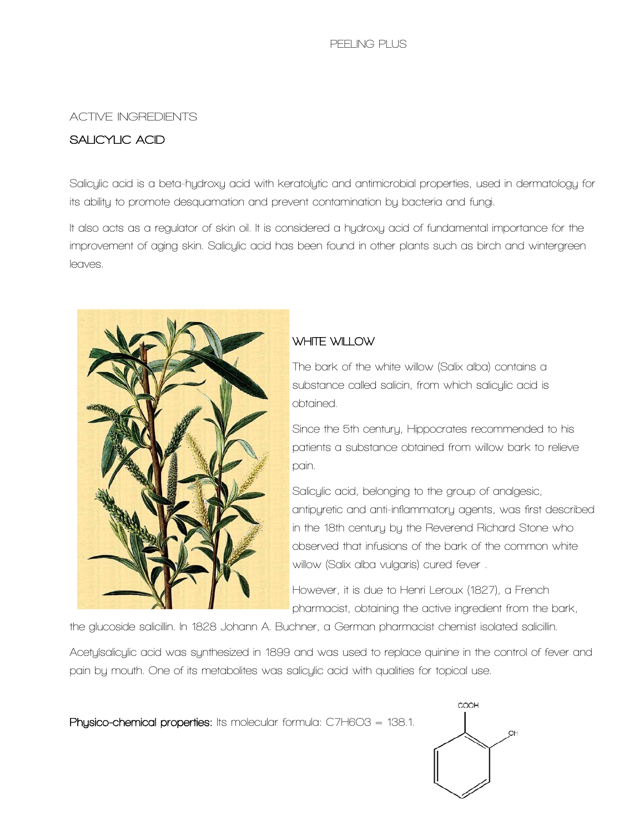### **ACTIVE INGREDIENTS**

# **SALICYLIC ACID**

**Salicylic acid is a beta-hydroxy acid with keratolytic and antimicrobial properties, used in dermatology for its ability to promote desquamation and prevent contamination by bacteria and fungi.**

**It also acts as a regulator of skin oil. It is considered a hydroxy acid of fundamental importance for the improvement of aging skin. Salicylic acid has been found in other plants such as birch and wintergreen leaves.**



# **WHITE WILLOW**

**The bark of the white willow (Salix alba) contains a substance called salicin, from which salicylic acid is obtained.**

**Since the 5th century, Hippocrates recommended to his patients a substance obtained from willow bark to relieve pain.**

**Salicylic acid, belonging to the group of analgesic, antipyretic and anti-inflammatory agents, was first described in the 18th century by the Reverend Richard Stone who observed that infusions of the bark of the common white willow (Salix alba vulgaris) cured fever .**

**However, it is due to Henri Leroux (1827), a French pharmacist, obtaining the active ingredient from the bark,** 

**the glucoside salicillin. In 1828 Johann A. Buchner, a German pharmacist chemist isolated salicillin.**

**Acetylsalicylic acid was synthesized in 1899 and was used to replace quinine in the control of fever and pain by mouth. One of its metabolites was salicylic acid with qualities for topical use.**

**Physico-chemical properties: Its molecular formula: C7H6O3 = 138.1.** 

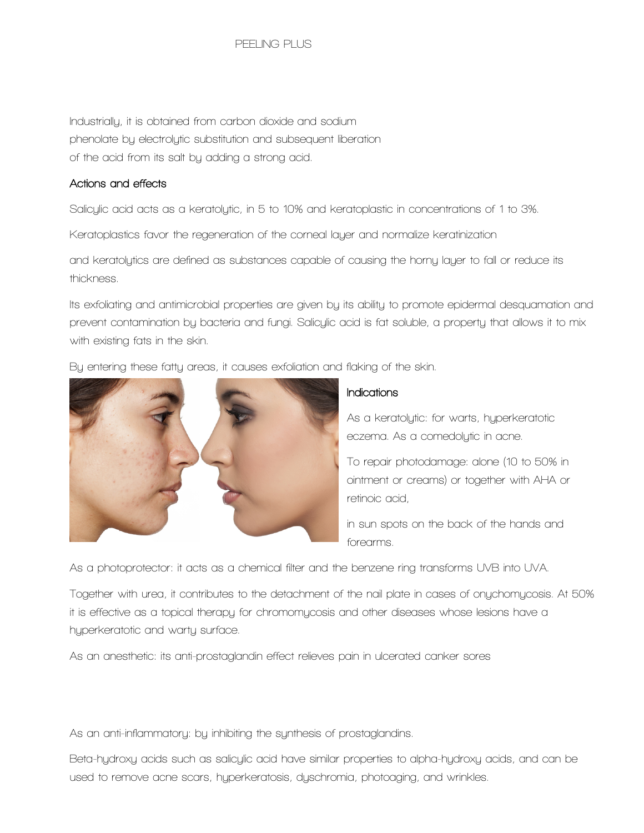**Industrially, it is obtained from carbon dioxide and sodium phenolate by electrolytic substitution and subsequent liberation of the acid from its salt by adding a strong acid.**

#### **Actions and effects**

**Salicylic acid acts as a keratolytic, in 5 to 10% and keratoplastic in concentrations of 1 to 3%.**

**Keratoplastics favor the regeneration of the corneal layer and normalize keratinization**

**and keratolytics are defined as substances capable of causing the horny layer to fall or reduce its thickness.**

**Its exfoliating and antimicrobial properties are given by its ability to promote epidermal desquamation and prevent contamination by bacteria and fungi. Salicylic acid is fat soluble, a property that allows it to mix with existing fats in the skin.**



**By entering these fatty areas, it causes exfoliation and flaking of the skin.**

## **Indications**

**As a keratolytic: for warts, hyperkeratotic eczema. As a comedolytic in acne.**

**To repair photodamage: alone (10 to 50% in ointment or creams) or together with AHA or retinoic acid,**

**in sun spots on the back of the hands and forearms.**

**As a photoprotector: it acts as a chemical filter and the benzene ring transforms UVB into UVA.**

**Together with urea, it contributes to the detachment of the nail plate in cases of onychomycosis. At 50% it is effective as a topical therapy for chromomycosis and other diseases whose lesions have a hyperkeratotic and warty surface.**

**As an anesthetic: its anti-prostaglandin effect relieves pain in ulcerated canker sores**

**As an anti-inflammatory: by inhibiting the synthesis of prostaglandins.**

**Beta-hydroxy acids such as salicylic acid have similar properties to alpha-hydroxy acids, and can be used to remove acne scars, hyperkeratosis, dyschromia, photoaging, and wrinkles.**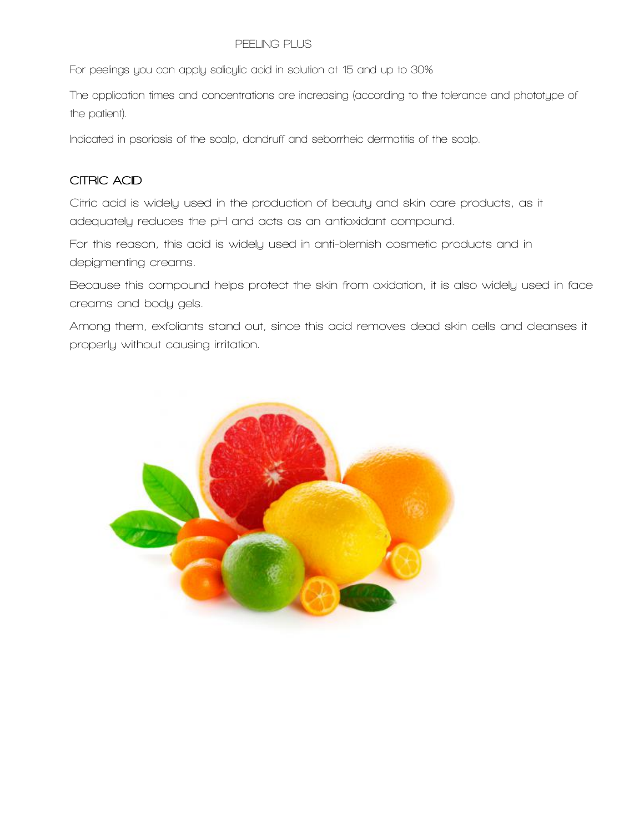**For peelings you can apply salicylic acid in solution at 15 and up to 30%**

**The application times and concentrations are increasing (according to the tolerance and phototype of the patient).**

**Indicated in psoriasis of the scalp, dandruff and seborrheic dermatitis of the scalp.**

# **CITRIC ACID**

**Citric acid is widely used in the production of beauty and skin care products, as it adequately reduces the pH and acts as an antioxidant compound.**

**For this reason, this acid is widely used in anti-blemish cosmetic products and in depigmenting creams.**

**Because this compound helps protect the skin from oxidation, it is also widely used in face creams and body gels.**

**Among them, exfoliants stand out, since this acid removes dead skin cells and cleanses it properly without causing irritation.**